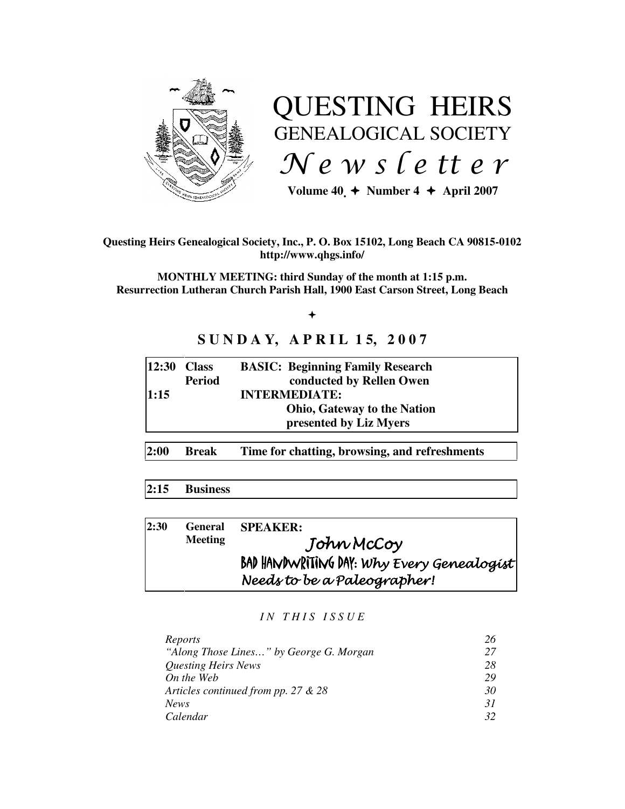

# QUESTING HEIRS GENEALOGICAL SOCIETY News letter

Volume  $40 \div \text{Number } 4 \div \text{April } 2007$ 

### **Questing Heirs Genealogical Society, Inc., P. O. Box 15102, Long Beach CA 90815-0102 http://www.qhgs.info/**

**MONTHLY MEETING: third Sunday of the month at 1:15 p.m. Resurrection Lutheran Church Parish Hall, 1900 East Carson Street, Long Beach** 

 $+$ 

# **SUNDAY, APRIL 15, 2007**

|      | $12:30$ Class | <b>BASIC: Beginning Family Research</b> |
|------|---------------|-----------------------------------------|
|      | <b>Period</b> | conducted by Rellen Owen                |
| 1:15 |               | <b>INTERMEDIATE:</b>                    |
|      |               | <b>Ohio, Gateway to the Nation</b>      |
|      |               | presented by Liz Myers                  |
|      |               |                                         |

**2:00 Break Time for chatting, browsing, and refreshments** 

# **2:15 Business**

| 2:30 | <b>General</b><br><b>Meeting</b> | <b>SPEAKER:</b>                            |
|------|----------------------------------|--------------------------------------------|
|      |                                  | John McCoy                                 |
|      |                                  | BAD HANDWRITING DAY: Why Every Genealogist |
|      |                                  | Needs to be a Paleographer!                |

#### *I N T H I S I S S U E*

| Reports                                 | 26 |
|-----------------------------------------|----|
| "Along Those Lines" by George G. Morgan | 27 |
| <i><b>Questing Heirs News</b></i>       | 28 |
| On the Web                              | 29 |
| Articles continued from pp. 27 $& 28$   | 30 |
| <b>News</b>                             | 31 |
| Calendar                                |    |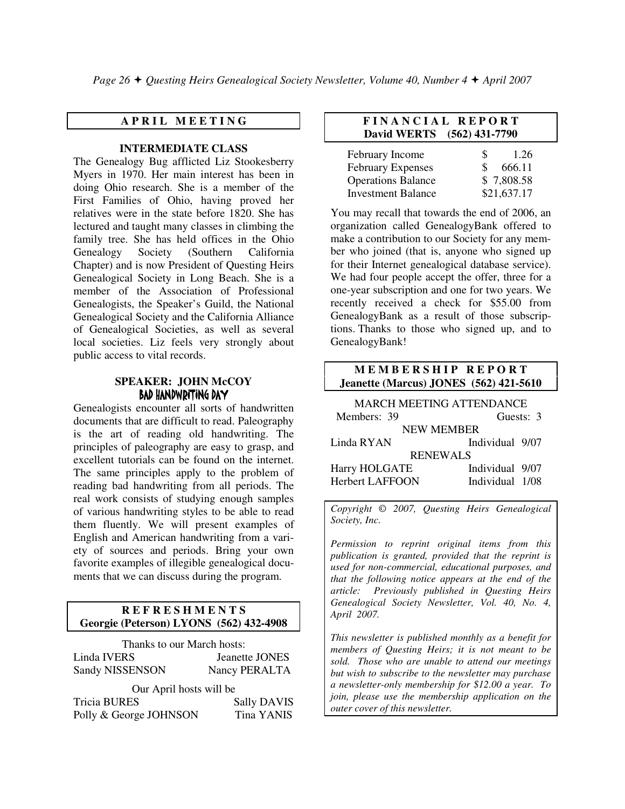*Page 26*  $\div$  *Ouesting Heirs Genealogical Society Newsletter, Volume 40, Number 4*  $\div$  *April 2007* 

# **A P R I L M E E T I N G**

#### **INTERMEDIATE CLASS**

The Genealogy Bug afflicted Liz Stookesberry Myers in 1970. Her main interest has been in doing Ohio research. She is a member of the First Families of Ohio, having proved her relatives were in the state before 1820. She has lectured and taught many classes in climbing the family tree. She has held offices in the Ohio Genealogy Society (Southern California Chapter) and is now President of Questing Heirs Genealogical Society in Long Beach. She is a member of the Association of Professional Genealogists, the Speaker's Guild, the National Genealogical Society and the California Alliance of Genealogical Societies, as well as several local societies. Liz feels very strongly about public access to vital records.

#### **SPEAKER: JOHN McCOY**  BAD HANDWRITING DAY

Genealogists encounter all sorts of handwritten documents that are difficult to read. Paleography is the art of reading old handwriting. The principles of paleography are easy to grasp, and excellent tutorials can be found on the internet. The same principles apply to the problem of reading bad handwriting from all periods. The real work consists of studying enough samples of various handwriting styles to be able to read them fluently. We will present examples of English and American handwriting from a variety of sources and periods. Bring your own favorite examples of illegible genealogical documents that we can discuss during the program.

#### **R E F R E S H M E N T S Georgie (Peterson) LYONS (562) 432-4908**

Thanks to our March hosts: Linda IVERS Jeanette JONES Sandy NISSENSON Nancy PERALTA Our April hosts will be

| Tricia BURES           | <b>Sally DAVIS</b> |
|------------------------|--------------------|
| Polly & George JOHNSON | Tina YANIS         |

#### **F I N A N C I A L R E P O R T David WERTS (562) 431-7790**

| February Income           | S | 1.26        |
|---------------------------|---|-------------|
| <b>February Expenses</b>  |   | 666.11      |
| <b>Operations Balance</b> |   | \$7,808.58  |
| <b>Investment Balance</b> |   | \$21,637.17 |

You may recall that towards the end of 2006, an organization called GenealogyBank offered to make a contribution to our Society for any member who joined (that is, anyone who signed up for their Internet genealogical database service). We had four people accept the offer, three for a one-year subscription and one for two years. We recently received a check for \$55.00 from GenealogyBank as a result of those subscriptions. Thanks to those who signed up, and to GenealogyBank!

#### **MEMBERSHIP REPORT Jeanette (Marcus) JONES (562) 421-5610**

| <b>MARCH MEETING ATTENDANCE</b> |                 |  |  |  |  |
|---------------------------------|-----------------|--|--|--|--|
| Members: 39                     | Guests: 3       |  |  |  |  |
| <b>NEW MEMBER</b>               |                 |  |  |  |  |
| Linda RYAN                      | Individual 9/07 |  |  |  |  |
| <b>RENEWALS</b>                 |                 |  |  |  |  |
| Harry HOLGATE                   | Individual 9/07 |  |  |  |  |
| <b>Herbert LAFFOON</b>          | Individual 1/08 |  |  |  |  |

*Copyright* © *2007, Questing Heirs Genealogical Society, Inc.* 

*Permission to reprint original items from this publication is granted, provided that the reprint is used for non-commercial, educational purposes, and that the following notice appears at the end of the article: Previously published in Questing Heirs Genealogical Society Newsletter, Vol. 40, No. 4, April 2007.* 

*This newsletter is published monthly as a benefit for members of Questing Heirs; it is not meant to be sold. Those who are unable to attend our meetings but wish to subscribe to the newsletter may purchase a newsletter-only membership for \$12.00 a year. To join, please use the membership application on the outer cover of this newsletter.*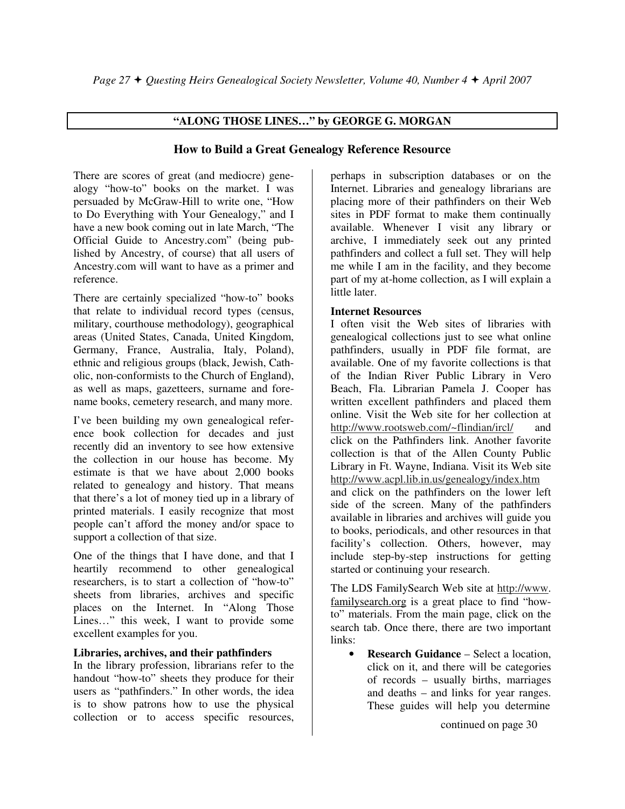# **"ALONG THOSE LINES…" by GEORGE G. MORGAN**

# **How to Build a Great Genealogy Reference Resource**

There are scores of great (and mediocre) genealogy "how-to" books on the market. I was persuaded by McGraw-Hill to write one, "How to Do Everything with Your Genealogy," and I have a new book coming out in late March, "The Official Guide to Ancestry.com" (being published by Ancestry, of course) that all users of Ancestry.com will want to have as a primer and reference.

There are certainly specialized "how-to" books that relate to individual record types (census, military, courthouse methodology), geographical areas (United States, Canada, United Kingdom, Germany, France, Australia, Italy, Poland), ethnic and religious groups (black, Jewish, Catholic, non-conformists to the Church of England), as well as maps, gazetteers, surname and forename books, cemetery research, and many more.

I've been building my own genealogical reference book collection for decades and just recently did an inventory to see how extensive the collection in our house has become. My estimate is that we have about 2,000 books related to genealogy and history. That means that there's a lot of money tied up in a library of printed materials. I easily recognize that most people can't afford the money and/or space to support a collection of that size.

One of the things that I have done, and that I heartily recommend to other genealogical researchers, is to start a collection of "how-to" sheets from libraries, archives and specific places on the Internet. In "Along Those Lines…" this week, I want to provide some excellent examples for you.

#### **Libraries, archives, and their pathfinders**

In the library profession, librarians refer to the handout "how-to" sheets they produce for their users as "pathfinders." In other words, the idea is to show patrons how to use the physical collection or to access specific resources,

perhaps in subscription databases or on the Internet. Libraries and genealogy librarians are placing more of their pathfinders on their Web sites in PDF format to make them continually available. Whenever I visit any library or archive, I immediately seek out any printed pathfinders and collect a full set. They will help me while I am in the facility, and they become part of my at-home collection, as I will explain a little later.

# **Internet Resources**

I often visit the Web sites of libraries with genealogical collections just to see what online pathfinders, usually in PDF file format, are available. One of my favorite collections is that of the Indian River Public Library in Vero Beach, Fla. Librarian Pamela J. Cooper has written excellent pathfinders and placed them online. Visit the Web site for her collection at http://www.rootsweb.com/~flindian/ircl/ and click on the Pathfinders link. Another favorite collection is that of the Allen County Public Library in Ft. Wayne, Indiana. Visit its Web site http://www.acpl.lib.in.us/genealogy/index.htm and click on the pathfinders on the lower left side of the screen. Many of the pathfinders available in libraries and archives will guide you to books, periodicals, and other resources in that facility's collection. Others, however, may include step-by-step instructions for getting started or continuing your research.

The LDS FamilySearch Web site at http://www. familysearch.org is a great place to find "howto" materials. From the main page, click on the search tab. Once there, there are two important links:

• **Research Guidance** – Select a location, click on it, and there will be categories of records – usually births, marriages and deaths – and links for year ranges. These guides will help you determine

continued on page 30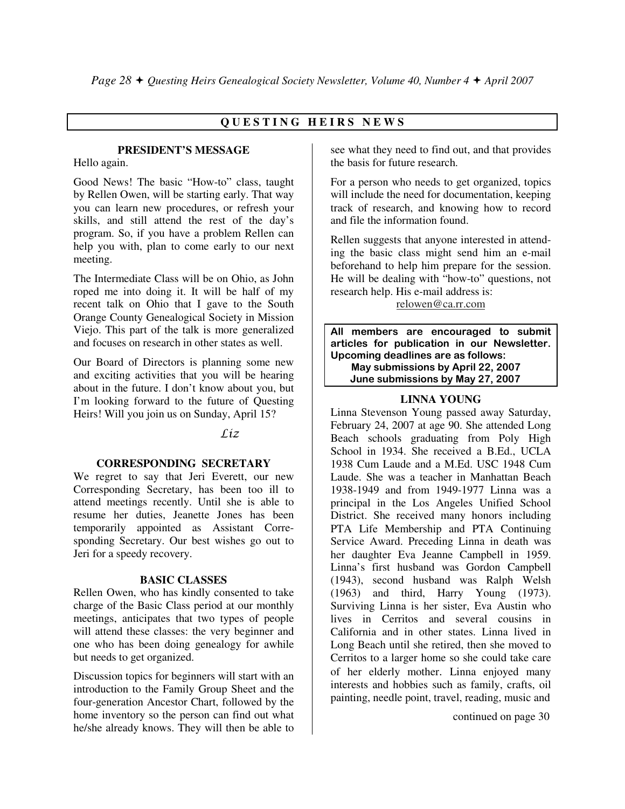# **Q U E S T I N G H E I R S N E W S**

## **PRESIDENT'S MESSAGE**

Hello again.

Good News! The basic "How-to" class, taught by Rellen Owen, will be starting early. That way you can learn new procedures, or refresh your skills, and still attend the rest of the day's program. So, if you have a problem Rellen can help you with, plan to come early to our next meeting.

The Intermediate Class will be on Ohio, as John roped me into doing it. It will be half of my recent talk on Ohio that I gave to the South Orange County Genealogical Society in Mission Viejo. This part of the talk is more generalized and focuses on research in other states as well.

Our Board of Directors is planning some new and exciting activities that you will be hearing about in the future. I don't know about you, but I'm looking forward to the future of Questing Heirs! Will you join us on Sunday, April 15?

# $Liz$

#### **CORRESPONDING SECRETARY**

We regret to say that Jeri Everett, our new Corresponding Secretary, has been too ill to attend meetings recently. Until she is able to resume her duties, Jeanette Jones has been temporarily appointed as Assistant Corresponding Secretary. Our best wishes go out to Jeri for a speedy recovery.

#### **BASIC CLASSES**

Rellen Owen, who has kindly consented to take charge of the Basic Class period at our monthly meetings, anticipates that two types of people will attend these classes: the very beginner and one who has been doing genealogy for awhile but needs to get organized.

Discussion topics for beginners will start with an introduction to the Family Group Sheet and the four-generation Ancestor Chart, followed by the home inventory so the person can find out what he/she already knows. They will then be able to

see what they need to find out, and that provides the basis for future research.

For a person who needs to get organized, topics will include the need for documentation, keeping track of research, and knowing how to record and file the information found.

Rellen suggests that anyone interested in attending the basic class might send him an e-mail beforehand to help him prepare for the session. He will be dealing with "how-to" questions, not research help. His e-mail address is:

relowen@ca.rr.com

All members are encouraged to submit articles for publication in our Newsletter. Upcoming deadlines are as follows: May submissions by April 22, 2007 June submissions by May 27, 2007

## **LINNA YOUNG**

Linna Stevenson Young passed away Saturday, February 24, 2007 at age 90. She attended Long Beach schools graduating from Poly High School in 1934. She received a B.Ed., UCLA 1938 Cum Laude and a M.Ed. USC 1948 Cum Laude. She was a teacher in Manhattan Beach 1938-1949 and from 1949-1977 Linna was a principal in the Los Angeles Unified School District. She received many honors including PTA Life Membership and PTA Continuing Service Award. Preceding Linna in death was her daughter Eva Jeanne Campbell in 1959. Linna's first husband was Gordon Campbell (1943), second husband was Ralph Welsh (1963) and third, Harry Young (1973). Surviving Linna is her sister, Eva Austin who lives in Cerritos and several cousins in California and in other states. Linna lived in Long Beach until she retired, then she moved to Cerritos to a larger home so she could take care of her elderly mother. Linna enjoyed many interests and hobbies such as family, crafts, oil painting, needle point, travel, reading, music and

continued on page 30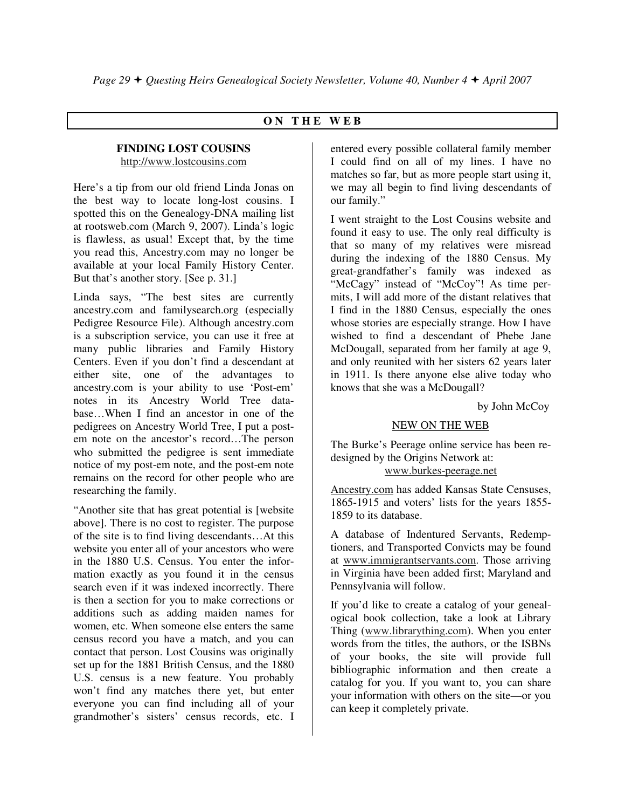# **O N T H E W E B**

#### **FINDING LOST COUSINS**  http://www.lostcousins.com

Here's a tip from our old friend Linda Jonas on the best way to locate long-lost cousins. I spotted this on the Genealogy-DNA mailing list at rootsweb.com (March 9, 2007). Linda's logic is flawless, as usual! Except that, by the time you read this, Ancestry.com may no longer be available at your local Family History Center. But that's another story. [See p. 31.]

Linda says, "The best sites are currently ancestry.com and familysearch.org (especially Pedigree Resource File). Although ancestry.com is a subscription service, you can use it free at many public libraries and Family History Centers. Even if you don't find a descendant at either site, one of the advantages to ancestry.com is your ability to use 'Post-em' notes in its Ancestry World Tree database…When I find an ancestor in one of the pedigrees on Ancestry World Tree, I put a postem note on the ancestor's record…The person who submitted the pedigree is sent immediate notice of my post-em note, and the post-em note remains on the record for other people who are researching the family.

"Another site that has great potential is [website above]. There is no cost to register. The purpose of the site is to find living descendants…At this website you enter all of your ancestors who were in the 1880 U.S. Census. You enter the information exactly as you found it in the census search even if it was indexed incorrectly. There is then a section for you to make corrections or additions such as adding maiden names for women, etc. When someone else enters the same census record you have a match, and you can contact that person. Lost Cousins was originally set up for the 1881 British Census, and the 1880 U.S. census is a new feature. You probably won't find any matches there yet, but enter everyone you can find including all of your grandmother's sisters' census records, etc. I

entered every possible collateral family member I could find on all of my lines. I have no matches so far, but as more people start using it, we may all begin to find living descendants of our family."

I went straight to the Lost Cousins website and found it easy to use. The only real difficulty is that so many of my relatives were misread during the indexing of the 1880 Census. My great-grandfather's family was indexed as "McCagy" instead of "McCoy"! As time permits, I will add more of the distant relatives that I find in the 1880 Census, especially the ones whose stories are especially strange. How I have wished to find a descendant of Phebe Jane McDougall, separated from her family at age 9, and only reunited with her sisters 62 years later in 1911. Is there anyone else alive today who knows that she was a McDougall?

by John McCoy

#### NEW ON THE WEB

The Burke's Peerage online service has been redesigned by the Origins Network at: www.burkes-peerage.net

Ancestry.com has added Kansas State Censuses, 1865-1915 and voters' lists for the years 1855- 1859 to its database.

A database of Indentured Servants, Redemptioners, and Transported Convicts may be found at www.immigrantservants.com. Those arriving in Virginia have been added first; Maryland and Pennsylvania will follow.

If you'd like to create a catalog of your genealogical book collection, take a look at Library Thing (www.librarything.com). When you enter words from the titles, the authors, or the ISBNs of your books, the site will provide full bibliographic information and then create a catalog for you. If you want to, you can share your information with others on the site—or you can keep it completely private.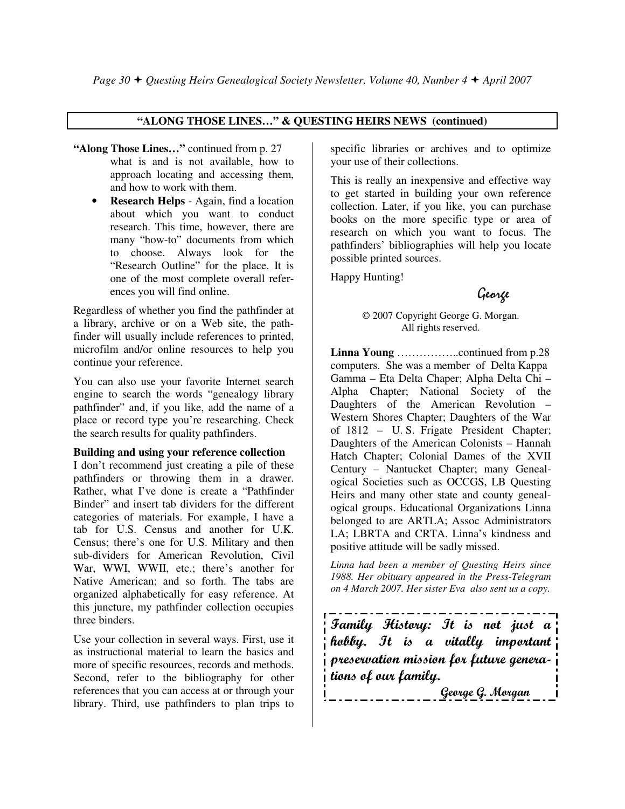#### **"ALONG THOSE LINES…" & QUESTING HEIRS NEWS (continued)**

- **"Along Those Lines…"** continued from p. 27 what is and is not available, how to approach locating and accessing them, and how to work with them.
	- **Research Helps**  Again, find a location about which you want to conduct research. This time, however, there are many "how-to" documents from which to choose. Always look for the "Research Outline" for the place. It is one of the most complete overall references you will find online.

Regardless of whether you find the pathfinder at a library, archive or on a Web site, the pathfinder will usually include references to printed, microfilm and/or online resources to help you continue your reference.

You can also use your favorite Internet search engine to search the words "genealogy library pathfinder" and, if you like, add the name of a place or record type you're researching. Check the search results for quality pathfinders.

#### **Building and using your reference collection**

I don't recommend just creating a pile of these pathfinders or throwing them in a drawer. Rather, what I've done is create a "Pathfinder Binder" and insert tab dividers for the different categories of materials. For example, I have a tab for U.S. Census and another for U.K. Census; there's one for U.S. Military and then sub-dividers for American Revolution, Civil War, WWI, WWII, etc.; there's another for Native American; and so forth. The tabs are organized alphabetically for easy reference. At this juncture, my pathfinder collection occupies three binders.

Use your collection in several ways. First, use it as instructional material to learn the basics and more of specific resources, records and methods. Second, refer to the bibliography for other references that you can access at or through your library. Third, use pathfinders to plan trips to

specific libraries or archives and to optimize your use of their collections.

This is really an inexpensive and effective way to get started in building your own reference collection. Later, if you like, you can purchase books on the more specific type or area of research on which you want to focus. The pathfinders' bibliographies will help you locate possible printed sources.

Happy Hunting!

George

© 2007 Copyright George G. Morgan. All rights reserved.

**Linna Young** ……………..continued from p.28 computers. She was a member of Delta Kappa Gamma – Eta Delta Chaper; Alpha Delta Chi – Alpha Chapter; National Society of the Daughters of the American Revolution – Western Shores Chapter; Daughters of the War of 1812 – U. S. Frigate President Chapter; Daughters of the American Colonists – Hannah Hatch Chapter; Colonial Dames of the XVII Century – Nantucket Chapter; many Genealogical Societies such as OCCGS, LB Questing Heirs and many other state and county genealogical groups. Educational Organizations Linna belonged to are ARTLA; Assoc Administrators LA; LBRTA and CRTA. Linna's kindness and positive attitude will be sadly missed.

*Linna had been a member of Questing Heirs since 1988. Her obituary appeared in the Press-Telegram on 4 March 2007. Her sister Eva also sent us a copy.* 

Family History: It is not just a hobby. It is a vitally important preservation mission for future generations of our family.

George G. Morgan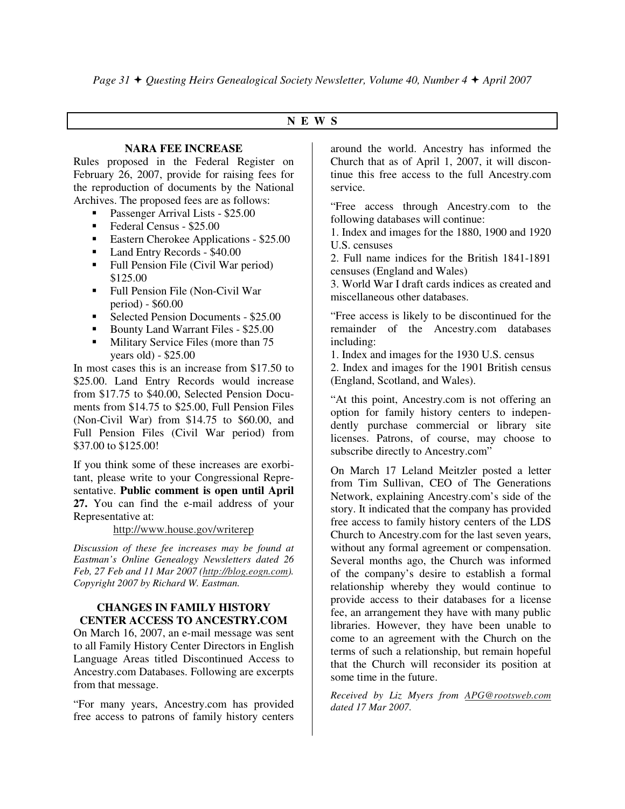### **N E W S**

#### **NARA FEE INCREASE**

Rules proposed in the Federal Register on February 26, 2007, provide for raising fees for the reproduction of documents by the National Archives. The proposed fees are as follows:

- -Passenger Arrival Lists - \$25.00
- **Federal Census \$25.00**
- **Eastern Cherokee Applications \$25.00**
- Land Entry Records \$40.00
- Full Pension File (Civil War period) \$125.00
- Full Pension File (Non-Civil War period) - \$60.00
- Selected Pension Documents \$25.00
- -Bounty Land Warrant Files - \$25.00
- - Military Service Files (more than 75 years old) - \$25.00

In most cases this is an increase from \$17.50 to \$25.00. Land Entry Records would increase from \$17.75 to \$40.00, Selected Pension Documents from \$14.75 to \$25.00, Full Pension Files (Non-Civil War) from \$14.75 to \$60.00, and Full Pension Files (Civil War period) from \$37.00 to \$125.00!

If you think some of these increases are exorbitant, please write to your Congressional Representative. **Public comment is open until April 27.** You can find the e-mail address of your Representative at:

#### http://www.house.gov/writerep

*Discussion of these fee increases may be found at Eastman's Online Genealogy Newsletters dated 26 Feb, 27 Feb and 11 Mar 2007 (http://blog.eogn.com). Copyright 2007 by Richard W. Eastman.* 

#### **CHANGES IN FAMILY HISTORY CENTER ACCESS TO ANCESTRY.COM**

On March 16, 2007, an e-mail message was sent to all Family History Center Directors in English Language Areas titled Discontinued Access to Ancestry.com Databases. Following are excerpts from that message.

"For many years, Ancestry.com has provided free access to patrons of family history centers

around the world. Ancestry has informed the Church that as of April 1, 2007, it will discontinue this free access to the full Ancestry.com service.

"Free access through Ancestry.com to the following databases will continue:

1. Index and images for the 1880, 1900 and 1920 U.S. censuses

2. Full name indices for the British 1841-1891 censuses (England and Wales)

3. World War I draft cards indices as created and miscellaneous other databases.

"Free access is likely to be discontinued for the remainder of the Ancestry.com databases including:

1. Index and images for the 1930 U.S. census

2. Index and images for the 1901 British census (England, Scotland, and Wales).

"At this point, Ancestry.com is not offering an option for family history centers to independently purchase commercial or library site licenses. Patrons, of course, may choose to subscribe directly to Ancestry.com"

On March 17 Leland Meitzler posted a letter from Tim Sullivan, CEO of The Generations Network, explaining Ancestry.com's side of the story. It indicated that the company has provided free access to family history centers of the LDS Church to Ancestry.com for the last seven years, without any formal agreement or compensation. Several months ago, the Church was informed of the company's desire to establish a formal relationship whereby they would continue to provide access to their databases for a license fee, an arrangement they have with many public libraries. However, they have been unable to come to an agreement with the Church on the terms of such a relationship, but remain hopeful that the Church will reconsider its position at some time in the future.

*Received by Liz Myers from APG@rootsweb.com dated 17 Mar 2007.*